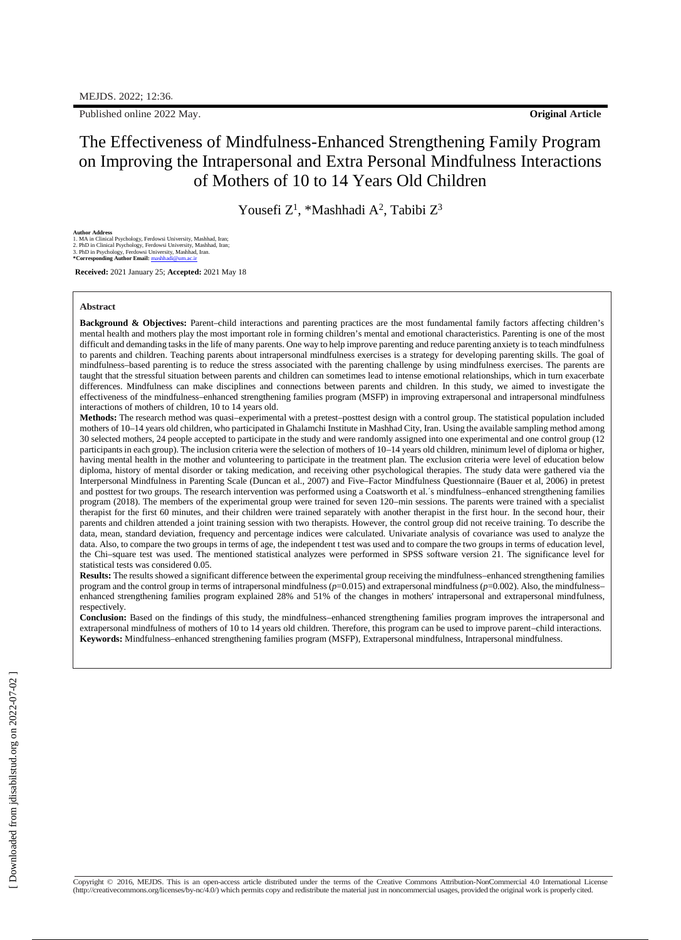Published online 2022 May. **Original Article**

## The Effectiveness of Mindfulness-Enhanced Strengthening Family Program on Improving the Intrapersonal and Extra Personal Mindfulness Interactions of Mothers of 10 to 14 Years Old Children

Yousefi Z<sup>1</sup>, \*Mashhadi A<sup>2</sup>, Tabibi Z<sup>3</sup>

Author Address<br>1. MA in Clinical Psychology, Ferdowsi University, Mashhad, Iran;<br>2. PhD in Clinical Psychology, Ferdowsi University, Mashhad, Iran;<br>3. PhD in Psychology, Ferdowsi University, Mashhad, Iran.<br>\*Corresponding A

**Received:** 2021 January 25; **Accepted:** 2021 May 18

#### **Abstract**

**Background & Objectives:** Parent–child interactions and parenting practices are the most fundamental family factors affecting children's mental health and mothers play the most important role in forming children's mental and emotional characteristics. Parenting is one of the most difficult and demanding tasks in the life of many parents. One way to help improve parenting and reduce parenting anxiety is to teach mindfulness to parents and children. Teaching parents about intrapersonal mindfulness exercises is a strategy for developing parenting skills. The goal of mindfulness–based parenting is to reduce the stress associated with the parenting challenge by using mindfulness exercises. The parents are taught that the stressful situation between parents and children can sometimes lead to intense emotional relationships, which in turn exacerbate differences. Mindfulness can make disciplines and connections between parents and children. In this study, we aimed to investigate the effectiveness of the mindfulness–enhanced strengthening families program (MSFP) in improving extrapersonal and intrapersonal mindfulness interactions of mothers of children, 10 to 14 years old.

**Methods:** The research method was quasi–experimental with a pretest–posttest design with a control group. The statistical population included mothers of 10–14 years old children, who participated in Ghalamchi Institute in Mashhad City, Iran. Using the available sampling method among 30 selected mothers, 24 people accepted to participate in the study and were randomly assigned into one experimental and one control group (12 participants in each group). The inclusion criteria were the selection of mothers of 10–14 years old children, minimum level of diploma or higher, having mental health in the mother and volunteering to participate in the treatment plan. The exclusion criteria were level of education below diploma, history of mental disorder or taking medication, and receiving other psychological therapies. The study data were gathered via the Interpersonal Mindfulness in Parenting Scale (Duncan et al., 2007) and Five–Factor Mindfulness Questionnaire (Bauer et al, 2006) in pretest and posttest for two groups. The research intervention was performed using a Coatsworth et al.'s mindfulness–enhanced strengthening families program (2018). The members of the experimental group were trained for seven 120–min sessions. The parents were trained with a specialist therapist for the first 60 minutes, and their children were trained separately with another therapist in the first hour. In the second hour, their parents and children attended a joint training session with two therapists. However, the control group did not receive training. To describe the data, mean, standard deviation, frequency and percentage indices were calculated. Univariate analysis of covariance was used to analyze the data. Also, to compare the two groups in terms of age, the independent t test was used and to compare the two groups in terms of education level, the Chi–square test was used. The mentioned statistical analyzes were performed in SPSS software version 21. The significance level for statistical tests was considered 0.05.

**Results:** The results showed a significant difference between the experimental group receiving the mindfulness–enhanced strengthening families program and the control group in terms of intrapersonal mindfulness (*p*=0.015) and extrapersonal mindfulness (*p*=0.002). Also, the mindfulness– enhanced strengthening families program explained 28% and 51% of the changes in mothers' intrapersonal and extrapersonal mindfulness, respectively.

**Conclusion:** Based on the findings of this study, the mindfulness–enhanced strengthening families program improves the intrapersonal and extrapersonal mindfulness of mothers of 10 to 14 years old children. Therefore, this program can be used to improve parent–child interactions. **Keywords:** Mindfulness–enhanced strengthening families program (MSFP), Extrapersonal mindfulness, Intrapersonal mindfulness.

Copyright © 2016, MEJDS. This is an open-access article distributed under the terms of the Creative Commons Attribution-NonCommercial 4.0 International License [\(http://creativecommons.org/licenses/by-nc/4.0/\)](http://creativecommons.org/licenses/by-nc/4.0/\)) which permits copy and redistribute the material just in noncommercial usages, provided the original work is properlycited.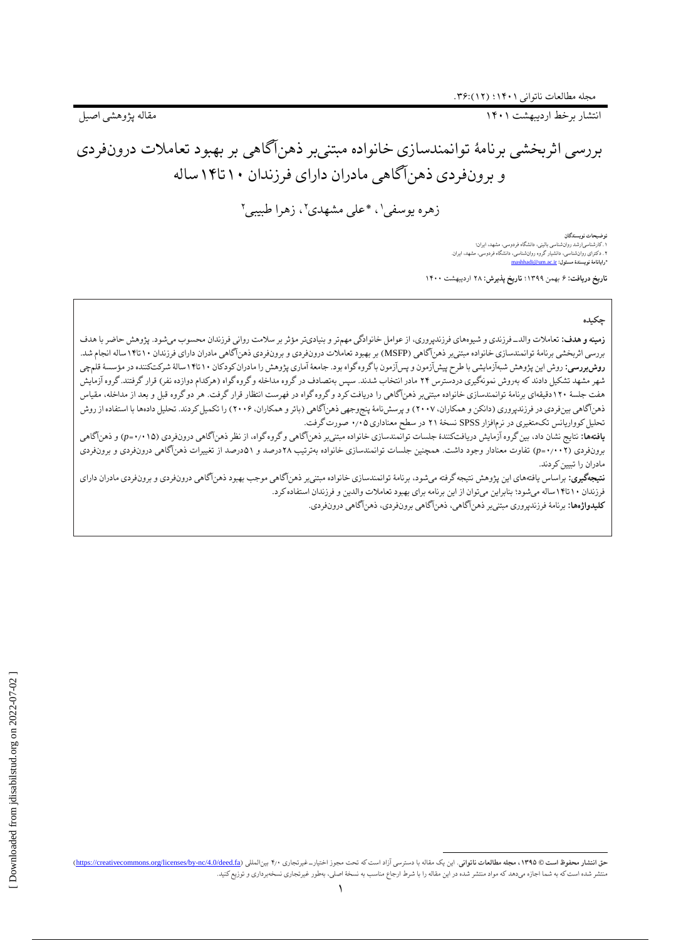انتشار برخط اردیبهشت 1۴۰1 مقاله پژوهشی اصیل

# بررسی اثربخشی برنامٔه توانمندسازی خانواده مبتنیبر ذهنآگاهی بر بهبود تعامالت درونفردی و برونفردی ذهنآگاهی مادران دارای فرزندان 1۰تا1۴ساله

زهره یوسفی'، \*علی مشهدی''، زهرا طبیبی'

**توضیحات نویسندگان** ۱.کارشناسیارشد روانشناسی بالینی، دانشگاه فردوسی، مشهد، ایران؛<br>۲. دکترای روانشناسی، دانشیار گروه روانشناسی، دانشگاه فردوسی، مشهد، ایران.<br>\*ر**ایانامهٔ نویسندهٔ مسئول: <u>mashhadi@um.ac.ir</u>** 

**تاریخ دریافت:** ۶ بهمن 1۳۹۹؛ **تاریخ پذیرش:** ۲۸ اردیبهشت 1۴۰۰

#### **چکیده**

**زمینه و هدف:** تعامالت والد-فرزندی و شیوههای فرزندپروری، از عوامل خانوادگی مهمتر و بنیادیتر مؤثر بر سالمت روانی فرزندان محسوب میشود. پژوهش حاضر با هدف بررسی اثربخشی برنامٔه توانمندسازی خانواده مبتنیبر ذهنآگاهی )MSFP )بر بهبود تعامالت درونفردی و برونفردی ذهنآگاهی مادران دارای فرزندان 1۰تا1۴ساله انجام شد. **روش بررسی**: روش این پژوهش شبهآزمایشی با طرح پیشآزمون و پسآزمون باگروه گواه بود. جامعهٔ آماری پژوهش را مادران کودکان ۱۰ تا۱۴سالهٔ شرکتکننده در مؤسسهٔ قلمچی شهر مشهد تشکیل دادند که بهروش نمونهگیری دردسترس ۲۴ مادر انتخاب شدند. سپس بهتصادف در گروه مداخله وگروه گراه (هرکدام دوازده نفر) قرار گرفتند. گروه آزمایش هفت جلسهٔ ۱۲۰دقیقهای برنامهٔ توانمندسازی خانواده مبتنیبر ذهنآگاهی را دریافت کرد و گروه گواه در فهرار گروت. هر دو گروه قبل و بعد از مداخله، مقیاس ذهنآگاهی بینفردی در فرزندپروری (دانکن و همکاران، ۲۰۰۷) و پرسشنامهٔ پنجوجهی ذهنآگاهی (بائر و همکاران، ۲۰۰۶) را تکمیل کردند. تحلیل دادهها با استفاده از روش تحلیل کوواریانس تکمتغیری در نرمافزار SPSS نسخٔه ۲1 در سطح معناداری ۰٫۰۵ صورت گرفت.

**یافتهها:** نتایج نشان داد، بین گروه آزمایش دریافتکنندٔه جلسات توانمندسازی خانواده مبتنیبر ذهنآگاهی و گروه گواه، از نظر ذهنآگاهی درونفردی )۰٫۰1۵*=p* )و ذهنآگاهی برونفردی )۰٫۰۰۲*=p* )تفاوت معنادار وجود داشت. همچنین جلسات توانمندسازی خانواده بهترتیب ۲۸درصد و ۵1درصد از تغییرات ذهنآگاهی درونفردی و برونفردی مادران را تبیین کردند.

**نتیجهگیری:** براساس یافتههای این پژوهش نتیجه گرفته میشود، برنامٔه توانمندسازی خانواده مبتنیبر ذهنآگاهی موجب بهبود ذهنآگاهی درونفردی و برونفردی مادران دارای فرزندان 1۰تا1۴ساله میشود؛ بنابراین میتوان از این برنامه برای بهبود تعامالت والدین و فرزندان استفاده کرد.

**کلیدواژهها:** برنامٔه فرزندپروری مبتنیبر ذهنآگاهی، ذهنآگاهی برونفردی، ذهنآگاهی درونفردی.

 $\overline{a}$ حق انتشار محفوظ است @ ١٣٩٥، مجله مطالعات ناتواني. اين يك مقاله با دسترسي آزاد است كه تحت مجوز اختيارت غيرتجاري ٢٠٠ بينالمللي (https://creativecommons.org/licenses/by-nc/4.0/deed.fa) بهجله مطالعات ناتواني. اين دعت ماله با منتشر شده استکه به شما اجازه میدهد که مواد منتشر شده در این مقاله را با شرط ارجاع مناسب به نسخٔه اصلی، بهطور غیرتجاری نسخهبرداری و توزیعکنید.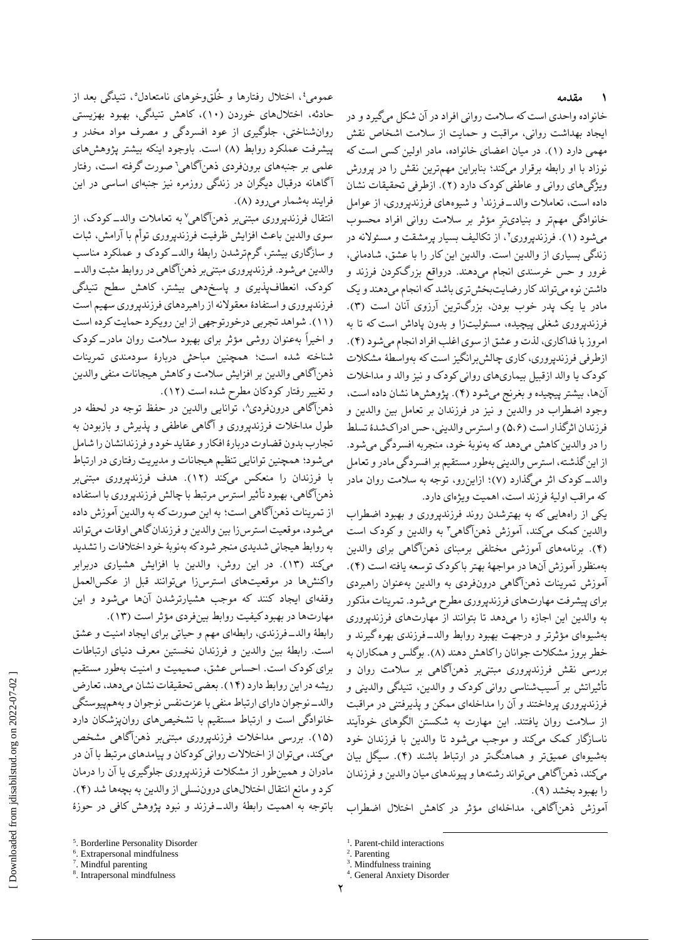#### **۱ مقدمه**

خانواده واحدی است که سالمت روانی افراد در آن شکل میگیرد و در ایجاد بهداشت روانی، مراقبت و حمایت از سالمت اشخاص نقش مهمی دارد )1(. در میان اعضای خانواده، مادر اولین کسی است که نوزاد با او رابطه برقرار میکند؛ بنابراین مهمترین نقش را در پرورش ویژگیهای روانی و عاطفی کودک دارد )۲(. ازطرفی تحقیقات نشان داده است، تعاملات والدــــفرزندا و شیوههای فرزندپروری، از عوامل خانوادگی مهمتر و بنیادیتر مؤثر بر سالمت روانی افراد محسوب میشود (۱). فرزندپروری''، از تکالیف بسیار پرمشقت و مسئولانه در زندگی بسیاری از والدین است. والدین این کار را با عشق، شادمانی، غرور و حس خرسندی انجام میدهند. درواقع بزرگکردن فرزند و داشتن نوه میتواند کار رضایتبخشتری باشد که انجام میدهند و یک مادر یا یک پدر خوب بودن، بزرگترین آرزوی آنان است )۳(. فرزندپروری شغلی پیچیده، مسئولیتزا و بدون پاداش است که تا به امروز با فداکاری، لذت و عشق از سوی اغلب افراد انجام میشود )۴(. ازطرفی فرزندپروری، کاری چالش برانگیز است که بهواسطهٔ مشکلات کودک یا والد ازقبیل بیماریهای روانی کودک و نیز والد و مداخالت آنها، بیشتر پیچیده و بغرنج میشود )۴(. پژوهشها نشان داده است، وجود اضطراب در والدین و نیز در فرزندان بر تعامل بین والدین و فرزندان اثرگذار است )۵،۶( و استرس والدینی، حس ادراکشدٔه تسلط را در والدین کاهش میدهد که بهنوبٔه خود، منجربه افسردگی میشود. از این گذشته، استرس والدینی بهطور مستقیم بر افسردگی مادر و تعامل والد-کودک اثر میگذارد )۷(؛ ازاینرو، توجه به سالمت روان مادر که مراقب اولیٔه فرزند است، اهمیت ویژهای دارد.

یکی از راههایی که به بهترشدن روند فرزندپروری و بهبود اضطراب والدین کمک میکند، آموزش ذهنآگاهی ؓ به والدین و کودک است )۴(. برنامههای آموزشی مختلفی برمبنای ذهنآگاهی برای والدین بهمنظور آموزش آنها در مواجهٔه بهتر با کودک توسعه یافته است )۴(. آموزش تمرینات ذهنآگاهی درونفردی به والدین بهعنوان راهبردی برای پیشرفت مهارتهای فرزندپروری مطرح میشود. تمرینات مذکور به والدین این اجازه را میدهد تا بتوانند از مهارتهای فرزندپروری بهشیوهای مؤثرتر و درجهت بهبود روابط والد-فرزندی بهره گیرند و خطر بروز مشکلات جوانان راکاهش دهند (۸). بوگلس و همکاران به بررسی نقش فرزندپروری مبتنیبر ذهنآگاهی بر سالمت روان و تأثیراتش بر آسیبشناسی روانی کودک و والدین، تنیدگی والدینی و فرزندپروری پرداختند و آن را مداخلهای ممکن و پذیرفتنی در مراقبت از سالمت روان یافتند. این مهارت به شکستن الگوهای خودآیند ناسازگار کمک میکند و موجب میشود تا والدین با فرزندان خود بهشیوهای عمیقتر و هماهنگتر در ارتباط باشند )۴(. سیگل بیان میکند، ذهنآگاهی میتواند رشتهها و پیوندهای میان والدین و فرزندان را بهبود بخشد )۹(.

آموزش ذهنآگاهی، مداخلهای مؤثر در کاهش اختالل اضطراب

 $\overline{a}$ 

عمومی٬ اختلال رفتارها و خُلقوخوهای نامتعادل٬ تنیدگی بعد از حادثه، اختاللهای خوردن )1۰(، کاهش تنیدگی، بهبود بهزیستی روانشناختی، جلوگیری از عود افسردگی و مصرف مواد مخدر و پیشرفت عملکرد روابط (۸) است. باوجود اینکه بیشتر پژوهشهای علمی بر جنبههای برونفردی ذهن|گاهی` صورت گرفته است، رفتار آگاهانه درقبال دیگران در زندگی روزمره نیز جنبهای اساسی در این فرایند بهشمار میرود (۸).

انتقال فرزندپروری مبتنیبر ذهن|گاهی<sup>۷</sup> به تعاملات والدــ کودک، از سوی والدین باعث افزایش ظرفیت فرزندپروری توأم با آرامش، ثبات و سازگاری بیشتر، گرمترشدن رابطٔه والد-کودک و عملکرد مناسب والدین میشود. فرزندپروری مبتنیبر ذهنآگاهی در روابط مثبت والد- کودک، انعطافپذیری و پاسخدهی بیشتر، کاهش سطح تنیدگی فرزندپروری و استفادٔه معقوالنه از راهبردهای فرزندپروری سهیم است )11(. شواهد تجربی درخورتوجهی از این رویکرد حمایت کرده است و اخیراً بهعنوان روشی مؤثر برای بهبود سالمت روان مادر-کودک شناخته شده است؛ همچنین مباحثی دربارٔه سودمندی تمرینات ذهنآگاهی والدین بر افزایش سالمت و کاهش هیجانات منفی والدین و تغییر رفتار کودکان مطرح شده است )1۲(.

۸ ذهنآگاهی درونفردی ، توانایی والدین در حفظ توجه در لحظه در طول مداخالت فرزندپروری و آگاهی عاطفی و پذیرش و بازبودن به تجارب بدون قضاوت دربارٔه افکار و عقاید خود و فرزندانشان را شامل میشود؛ همچنین توانایی تنظیم هیجانات و مدیریت رفتاری در ارتباط با فرزندان را منعکس میکند )1۲(. هدف فرزندپروری مبتنیبر ذهنآگاهی، بهبود تأثیر استرس مرتبط با چالش فرزندپروری با استفاده از تمرینات ذهنآگاهی است؛ به این صورت که به والدین آموزش داده میشود، موقعیت استرسزا بین والدین و فرزندان گاهی اوقات میتواند به روابط هیجانی شدیدی منجر شود که بهنوبٔه خود اختالفات را تشدید میکند )1۳(. در این روش، والدین با افزایش هشیاری دربرابر واکنشها در موقعیتهای استرسزا میتوانند قبل از عکسالعمل وقفهای ایجاد کنند که موجب هشیارترشدن آنها میشود و این مهارتها در بهبود کیفیت روابط بینفردی مؤثر است )1۳(.

رابطٔه والد-فرزندی، رابطهای مهم و حیاتی برای ایجاد امنیت و عشق است. رابطٔه بین والدین و فرزندان نخستین معرف دنیای ارتباطات برای کودک است. احساس عشق، صمیمیت و امنیت بهطور مستقیم ریشه در این روابط دارد )1۴(. بعضی تحقیقات نشان میدهد، تعارض والد-نوجوان دارای ارتباط منفی با عزتنفس نوجوان و بههمپیوستگی خانوادگی است و ارتباط مستقیم با تشخیصهای روانپزشکان دارد )1۵(. بررسی مداخالت فرزندپروری مبتنیبر ذهنآگاهی مشخص میکند، میتوان از اختالالت روانی کودکان و پیامدهای مرتبط با آن در مادران و همینطور از مشکالت فرزندپروری جلوگیری یا آن را درمان کرد و مانع انتقال اختاللهای دروننسلی از والدین به بچهها شد )۴(. باتوجه به اهمیت رابطٔه والد-فرزند و نبود پژوهش کافی در حوزٔه

<sup>&</sup>lt;sup>1</sup>. Parent-child interactions

<sup>&</sup>lt;sup>2</sup>. Parenting

<sup>3</sup> . Mindfulness training

<sup>4</sup> . General Anxiety Disorder

<sup>5</sup> . Borderline Personality Disorder

<sup>6</sup> . Extrapersonal mindfulness

<sup>7</sup> . Mindful parenting

<sup>8</sup> . Intrapersonal mindfulness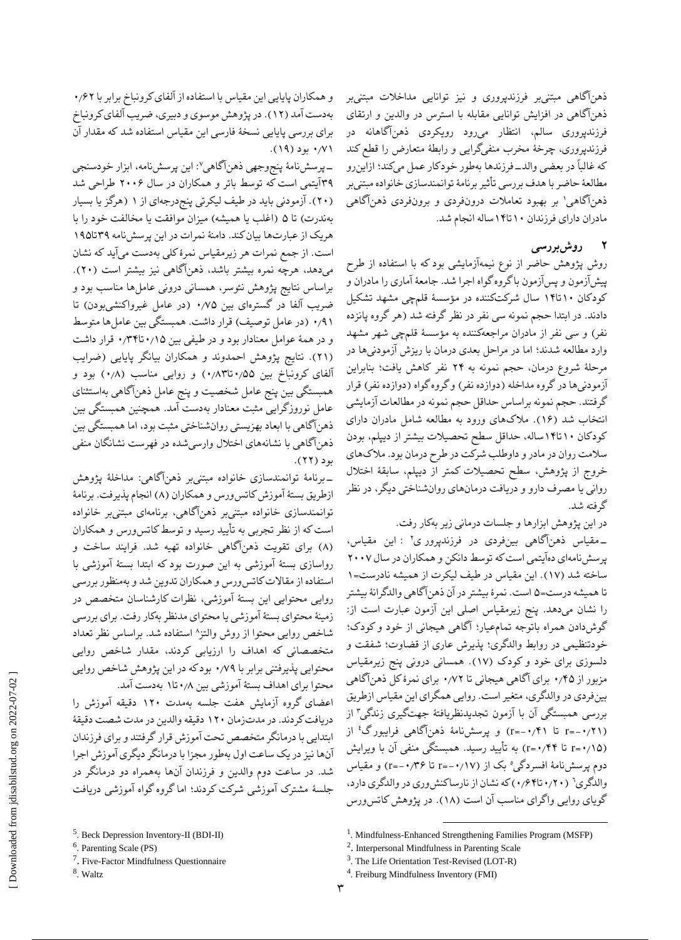ذهنآگاهی مبتنیبر فرزندپروری و نیز توانایی مداخالت مبتنیبر ذهنآگاهی در افزایش توانایی مقابله با استرس در والدین و ارتقای فرزندپروری سالم، انتظار میرود رویکردی ذهنآگاهانه در فرزندپروری، چرخٔه مخرب منفیگرایی و رابطٔه متعارض را قطع کند که غالباً در بعضی والد-فرزندها بهطور خودکار عمل میکند؛ ازاینرو مطالعٔه حاضر با هدف بررسی تأثیر برنامٔه توانمندسازی خانواده مبتنیبر 1 ذهنآگاهی بر بهبود تعامالت درونفردی و برونفردی ذهنآگاهی مادران دارای فرزندان 1۰تا1۴ساله انجام شد.

### **2 روشبررسی**

روش پژوهش حاضر از نوع نیمهآزمایشی بود که با استفاده از طرح پیشآزمون و پسآزمون با گروه گواه اجرا شد. جامعٔه آماری را مادران و کودکان 1۰تا1۴ سال شرکتکننده در مؤسسٔه قلمچی مشهد تشکیل دادند. در ابتدا حجم نمونه سی نفر در نظر گرفته شد (هر گروه پانزده نفر) و سی نفر از مادران مراجعهکننده به مؤسسهٔ قلمچی شهر مشهد وارد مطالعه شدند؛ اما در مراحل بعدی درمان با ریزش آزمودنیها در مرحلٔه شروع درمان، حجم نمونه به ۲۴ نفر کاهش یافت؛ بنابراین آزمودنیها در گروه مداخله (دوازده نفر) و گروه گواه (دوازده نفر) قرار گرفتند. حجم نمونه براساس حداقل حجم نمونه در مطالعات آزمایشی انتخاب شد )1۶(. مالکهای ورود به مطالعه شامل مادران دارای کودکان 1۰تا1۴ساله، حداقل سطح تحصیالت بیشتر از دیپلم، بودن سالمت روان در مادر و داوطلب شرکت در طرح درمان بود. مالکهای خروج از پژوهش، سطح تحصیالت کمتر از دیپلم، سابقٔه اختالل روانی یا مصرف دارو و دریافت درمانهای روانشناختی دیگر، در نظر گرفته شد.

در این پژوهش ابزارها و جلسات درمانی زیر بهکار رفت.

ـ مقیاس ذهنآگاهی بینفردی در فرزندپرور ی<sup>۲</sup> : این مقیاس، ــ مقیاس ذهنآگاهی بینفردی در فرزندپرور ی٬ : این مقیاس،<br>پرسشنامهای دهآیتمی است که توسط دانکن و همکاران در سال ۲۰۰۷ ساخته شد )1۷(. این مقیاس در طیف لیکرت از همیشه نادرست=1 تا همیشه درست=۵ است. نمرٔه بیشتر در آن ذهنآگاهی والدگرانٔه بیشتر را نشان میدهد. پنج زیرمقیاس اصلی این آزمون عبارت است از: گوشدادن همراه باتوجه تمامعیار؛ آگاهی هیجانی از خود و کودک؛ خودتنظیمی در روابط والدگری؛ پذیرش عاری از قضاوت؛ شفقت و دلسوزی برای خود و کودک )1۷(. همسانی درونی پنج زیرمقیاس مزبور از ۰٫۴۵ برای آگاهی هیجانی تا ۰٫۷۲ برای نمرٔهکل ذهنآگاهی بینفردی در والدگری، متغیر است. روایی همگرای این مقیاس ازطریق بررسی همبستگی أن با آزمون تجدیدنظریافتهٔ جهتگیری زندگی<sup>۳</sup> از r=-•/۲۱) تا ۲۱/۰+–r) و پرسشنامهٔ ذهنآگاهی فرایبورگ<sup>؛</sup> از )۰٫1۵=r تا ۰٫۴۴=r )به تأیید رسید. همبستگی منفی آن با ویرایش دوم پرسشنامهٔ افسردگی° بک از (۰٫۱۷−=r تا ۰٫۳۶+−r) و مقیاس والدگری<sup>٬</sup> (۰٫۲۰تا۰٫۴۴) که نشان از نارساکنشوری در والدگری دارد، گویای روایی واگرای مناسب آن است (۱۸). در پژوهش کاتس ورس

-پرسشنامٔه پنجوجهی ذهنآگاهی:<sup>۷</sup> این پرسشنامه، ابزار خودسنجی ۳۹آیتمی است که توسط بائر و همکاران در سال ۲۰۰۶ طراحی شد )۲۰(. آزمودنی باید در طیف لیکرتی پنجدرجهای از 1 )هرگز یا بسیار بهندرت) تا ۵ (اغلب یا همیشه) میزان موافقت یا مخالفت خود را با هریک از عبارتها بیان کند. دامنٔه نمرات در این پرسشنامه ۳۹تا1۹۵ است. از جمع نمرات هر زیرمقیاس نمرٔهکلی بهدست میآید که نشان میدهد، هرچه نمره بیشتر باشد، ذهنآگاهی نیز بیشتر است )۲۰(. براساس نتایج پژوهش نئوسر، همسانی درونی عاملها مناسب بود و ضریب آلفا در گسترهای بین ۰٫۷۵ )در عامل غیرواکنشیبودن( تا ۰/۹۱ (در عامل توصیف) قرار داشت. همبستگی بین عاملها متوسط و در همٔه عوامل معنادار بود و در طیفی بین ۰٫1۵تا۰٫۳۴ قرار داشت )۲1(. نتایج پژوهش احمدوند و همکاران بیانگر پایایی )ضرایب آلفای کرونباخ بین ۰٫۵۵تا۰٫۸۳( و روایی مناسب )۰٫۸( بود و همبستگی بین پنج عامل شخصیت و پنج عامل ذهنآگاهی بهاستثنای عامل نوروزگرایی مثبت معنادار بهدست آمد. همچنین همبستگی بین ذهنآگاهی با ابعاد بهزیستی روانشناختی مثبت بود، اما همبستگی بین ذهنآگاهی با نشانههای اختالل وارسیشده در فهرست نشانگان منفی بود )۲۲(.

ازطریق بستهٔ آموزش کاتسورس و همکاران (۸) انجام پذیرفت. برنامهٔ برنامٔه توانمندسازی خانواده مبتنیبر ذهنآگاهی: مداخلٔه پژوهش توانمندسازی خانواده مبتنیبر ذهنآگاهی، برنامهای مبتنیبر خانواده است که از نظر تجربی به تأیید رسید و توسط کاتسورس و همکاران )۸( برای تقویت ذهنآگاهی خانواده تهیه شد. فرایند ساخت و رواسازی بستٔه آموزشی به این صورت بود که ابتدا بستٔه آموزشی با استفاده از مقاالت کاتسورس و همکاران تدوین شد و بهمنظور بررسی روایی محتوایی این بستٔه آموزشی، نظرات کارشناسان متخصص در زمینٔه محتوای بستٔه آموزشی یا محتوای مدنظر بهکار رفت. برای بررسی ۸ شاخص روایی محتوا از روش والتز استفاده شد. براساس نظر تعداد متخصصانی که اهداف را ارزیابی کردند، مقدار شاخص روایی محتوایی پذیرفتنی برابر با ۰٫۷۹ بودکه در این پژوهش شاخص روایی محتوا برای اهداف بستٔه آموزشی بین ۰٫۸تا1 بهدست آمد.

اعضای گروه آزمایش هفت جلسه بهمدت 1۲۰ دقیقه آموزش را دریافت کردند. در مدتزمان 1۲۰ دقیقه والدین در مدت شصت دقیقٔه ابتدایی با درمانگر متخصص تحت آموزش قرار گرفتند و برای فرزندان آنها نیز در یک ساعت اول بهطور مجزا با درمانگر دیگری آموزش اجرا شد. در ساعت دوم والدین و فرزندان آنها بههمراه دو درمانگر در جلسٔه مشترک آموزشی شرکت کردند؛ اما گروه گواه آموزشی دریافت

 $\overline{a}$ 

و همکاران پایایی این مقیاس با استفاده از آلفای کرونباخ برابر با ۰٫۶۲ بهدست آمد )1۲(. در پژوهش موسوی و دبیری، ضریب آلفای کرونباخ برای بررسی پایایی نسخٔه فارسی این مقیاس استفاده شد که مقدار آن ۰/۷۱ بود (۱۹).

<sup>5</sup> . Beck Depression Inventory-II (BDI-II)

<sup>6</sup> . Parenting Scale (PS)

<sup>7</sup> . Five-Factor Mindfulness Questionnaire

<sup>&</sup>lt;sup>8</sup>. Waltz

<sup>&</sup>lt;sup>1</sup>. Mindfulness-Enhanced Strengthening Families Program (MSFP)

<sup>2</sup> . Interpersonal Mindfulness in Parenting Scale

<sup>&</sup>lt;sup>3</sup>. The Life Orientation Test-Revised (LOT-R)

<sup>4</sup> . Freiburg Mindfulness Inventory (FMI)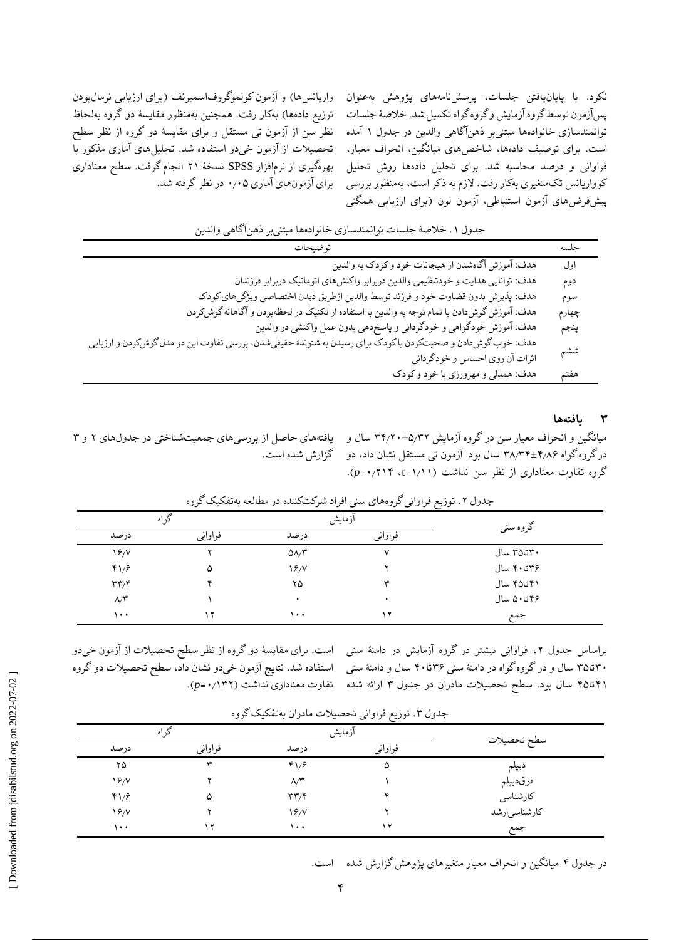واریانسها) و آزمون کولموگروفاسمیرنف (برای ارزیابی نرمالبودن توزیع دادهها) بهکار رفت. همچنین بهمنظور مقایسهٔ دو گروه بهلحاظ نظر سن از آزمون تی مستقل و برای مقایسٔه دو گروه از نظر سطح تحصیالت از آزمون خیدو استفاده شد. تحلیلهای آماری مذکور با بهرهگیری از نرمافزار SPSS نسخٔه ۲1 انجام گرفت. سطح معناداری برای آزمونهای آماری ۰٫۰۵ در نظر گرفته شد. نکرد. با پایانیافتن جلسات، پرسشنامههای پژوهش بهعنوان پسآزمون توسط گروه آزمایش و گروه گواه تکمیل شد. خالصٔه جلسات توانمندسازی خانوادهها مبتنیبر ذهنآگاهی والدین در جدول 1 آمده است. برای توصیف دادهها، شاخصهای میانگین، انحراف معیار، فراوانی و درصد محاسبه شد. برای تحلیل دادهها روش تحلیل کوواریانس تکمتغیری بهکار رفت. الزم به ذکر است، بهمنظور بررسی پیشفرضهای آزمون استنباطی، آزمون لون )برای ارزیابی همگنی

| جدول ١. خلاصهٔ جلسات توانمندسازی خانوادهها مبتنیبر ذهناکاهی والدین                                             |       |
|----------------------------------------------------------------------------------------------------------------|-------|
| توضيحات                                                                                                        | جلسه  |
| هدف: آموزش آگاهشدن از هیجانات خود و کودک به والدین                                                             | اول   |
| هدف: توانایی هدایت و خودتنظیمی والدین دربرابر واکنشهای اتوماتیک دربرابر فرزندان                                | دوم   |
| هدف: پذیرش بدون قضاوت خود و فرزند توسط والدین ازطریق دیدن اختصاصی ویژگیهای کودک                                | سوم   |
| هدف: آموزش گوش(دادن با تمام توجه به والدین با استفاده از تکنیک در لحظهبودن و آگاهانه گوش کردن                  | چهارم |
| هدف: آموزش خودگواهي و خودگرداني و پاسخدهي بدون عمل واكنشي در والدين                                            | پنجم  |
| هدف: خوب گوش دادن و صحبتکردن با کودک برای رسیدن به شنوندهٔ حقیقیشدن، بررسی تفاوت این دو مدل گوش کردن و ارزیابی |       |
| اثرات آن روي احساس و خودگرداني                                                                                 | ششم   |
| هدف: همدلي و مهرورزي با خود و كودك                                                                             | هفتم  |

## **۳ یافتهها**

میانگین و انحراف معیار سن در گروه آزمایش ۳۴٫۲۰±۵٫۳۲ سال و یافتههای حاصل از بررسیهای جمعیتشناختی در جدولهای ۲ و ۳ در گروه گواه ۳۸٫۳۴±۴٫۸۶ سال بود. آزمون تی مستقل نشان داد، دو گزارش شده است. گروه تفاوت معناداری از نظر سن نداشت )1٫11=t، ۰٫۲1۴=*p*).

| گو اه                             |         |                          | آزمايش       |            |
|-----------------------------------|---------|--------------------------|--------------|------------|
| درصد                              | فراواني | درصد                     | فراواني      | گروه سنی   |
| $\frac{9}{2}$                     | ٧       | $\Delta\Lambda/\Upsilon$ | $\checkmark$ | ۳۰تا۳۵ سال |
| 41/5                              | ۵       | 19/                      |              | ۳۶تا۴۰ سال |
| $\mathbf{r}\mathbf{r}/\mathbf{r}$ | ۷C      | ۲۵                       | ₩            | ۴۱تا۲۵ سال |
| $\Lambda/\tilde{r}$               |         | ٠                        |              | ۴۶تا۵۰ سال |
| ۰۰۱                               | ۱۲      | ۰۰۱                      | ۱۲           | جمع        |

جدول ۲. توزیع فراوانی گروههای سنی افراد شرکتکننده در مطالعه بهتفکیک گروه

براساس جدول ۲، فراوانی بیشتر در گروه ازمایش در دامنهٔ سنی است. برای مقایسهٔ دو گروه از نظر سطح تحصیلات از آزمون خیدو ۳۰تا۳۵ سال و در گروه گواه در دامنٔه سنی ۳۶تا۴۰ سال و دامنٔه سنی استفاده شد. نتایج آزمون خیدو نشان داد، سطح تحصیالت دو گروه ۴1تا۴۵ سال بود. سطح تحصیالت مادران در جدول ۳ ارائه شده تفاوت معناداری نداشت )۰٫1۳۲=*p*).

| ده اه         |         |                                   | أزمايش  |              |
|---------------|---------|-----------------------------------|---------|--------------|
| درصد          | فراواني | در صد                             | فراواني | سطح تحصيلات  |
| ۲۵            | ₩       | 41/8                              | ۵       | ديپلم        |
| $\frac{9}{2}$ |         | $\Lambda/\tilde{r}$               |         | فوقديپلم     |
| 41/8          | ۵       | $\mathbf{r}\mathbf{r}/\mathbf{r}$ |         | كارشناسى     |
| $\frac{9}{2}$ |         | 19/                               |         | كارشناسىارشد |
| ۱۰۰           | ۱۲      | ۰۰۱                               | Y       | جمع          |

جدول .۳ توزیع فراوانی تحصیالت مادران بهتفکیک گروه

در جدول ۴ میانگین و انحراف معیار متغیرهای پژوهش گزارش شده است.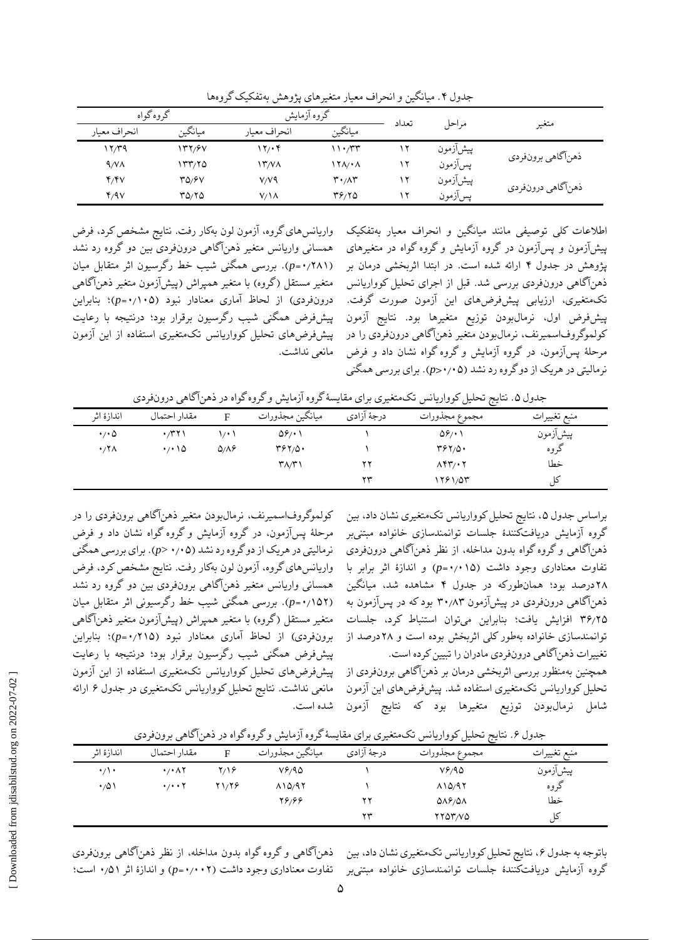| گروه گواه<br>گروه آزمایش |         | تعداد        |                               |           |          |                   |
|--------------------------|---------|--------------|-------------------------------|-----------|----------|-------------------|
| انحراف معيار             | ميانگين | انحراف معيار | ميانگين                       |           | مراحل    | متغير             |
| ۲۳۹ (                    | ۱۳۲/۶۷  | ۲۲۰۴         | ۱۱۰٬۳۳                        | $\lambda$ | پیشآزمون | ذهنآگاهي برونفردي |
| 9/VA                     | ۱۳۳/۲۵  | ۱۳/۷۸        | ۱۲۸٬۰۸                        | , ۲       | پسآزمون  |                   |
| Y/Y                      | 30/6V   | $V/Y$ ۹      | $\mathbf{r} \cdot \mathbf{r}$ | ۱۲        | پیشآزمون | ذهنآگاهي درونفردي |
| Y/9V                     | 01/07   | $V/\lambda$  | 39/10                         | ۰.        | پسآزمون  |                   |

جدول ۴. میانگین و انحراف معیار متغیرهای پژوهش بهتفکیک گروهها

واریانسهای گروه، آزمون لون بهکار رفت. نتایج مشخص کرد، فرض همسانی واریانس متغیر ذهنآگاهی درونفردی بین دو گروه رد نشد )۰٫۲۸1=*p*). بررسی همگنی شیب خط رگرسیون اثر متقابل میان متغیر مستقل (گروه) با متغیر همپراش (پیشآزمون متغیر ذهنآگاهی درونفردی( از لحاظ آماری معنادار نبود )۰٫1۰۵=*p*)؛ بنابراین پیشفرض همگنی شیب رگرسیون برقرار بود؛ درنتیجه با رعایت پیشفرضهای تحلیل کوواریانس تکمتغیری استفاده از این آزمون مانعی نداشت. اطالعات کلی توصیفی مانند میانگین و انحراف معیار بهتفکیک پیشآزمون و پسآزمون در گروه آزمایش و گروه گواه در متغیرهای پژوهش در جدول ۴ ارائه شده است. در ابتدا اثربخشی درمان بر ذهنآگاهی درونفردی بررسی شد. قبل از اجرای تحلیل کوواریانس تکمتغیری، ارزیابی پیشفرضهای این آزمون صورت گرفت. پیشفرض اول، نرمالبودن توزیع متغیرها بود. نتایج آزمون کولموگروفاسمیرنف، نرمالبودن متغیر ذهنآگاهی درونفردی را در مرحلٔه پسآزمون، در گروه آزمایش و گروه گواه نشان داد و فرض نرمالیتی در هریک از دو گروه رد نشد )۰٫۰۵>*p*). برای بررسی همگنی

جدول ۰. نتایج تحلیل کوواریانس تکمتغیری برای مقایسهٔ گروه آزمایش و گروه گواه در ذهنآگاهی درونفردی

| اندازهٔ اثر         | مقدار احتمال                |                        | ميانگين مجذورات       | درجهٔ آزادی | مجموع مجذورات         | منبع تغييرات |
|---------------------|-----------------------------|------------------------|-----------------------|-------------|-----------------------|--------------|
| $\cdot$ / $\cdot$ 0 | $\cdot$ /۳۲۱                | $\left  \cdot \right $ | $\Delta \hat{\gamma}$ |             | $\Delta \hat{\gamma}$ | پیشآزمون     |
| $\cdot$ /۲۸         | $\cdot$ / $\cdot$ / $\circ$ | $Q/\Lambda$ ۶          | ۳۶۲/۵۰                |             | 36177                 | گروه         |
|                     |                             |                        | ۳۸/۳۱                 | ۲۲          | $\Lambda$ ۴۳/•۲       | خطا          |
|                     |                             |                        |                       | ٣٣          | ۱۲۶۱/۵۳               |              |

کولموگروفاسمیرنف، نرمالبودن متغیر ذهنآگاهی برونفردی را در مرحلٔه پسآزمون، در گروه آزمایش و گروه گواه نشان داد و فرض نرمالیتی در هریک از دو گروه رد نشد )۰٫۰۵ <*p*). برای بررسی همگنی واریانسهای گروه، آزمون لون بهکار رفت. نتایج مشخص کرد، فرض همسانی واریانس متغیر ذهنآگاهی برونفردی بین دو گروه رد نشد )۰٫1۵۲=*p*). بررسی همگنی شیب خط رگرسیونی اثر متقابل میان متغیر مستقل (گروه) با متغیر همپراش (پیشآزمون متغیر ذهنآگاهی برونفردی( از لحاظ آماری معنادار نبود )۰٫۲1۵=*p*)؛ بنابراین پیشفرض همگنی شیب رگرسیون برقرار بود؛ درنتیجه با رعایت پیشفرضهای تحلیل کوواریانس تکمتغیری استفاده از این آزمون مانعی نداشت. نتایج تحلیل کوواریانس تکمتغیری در جدول ۶ ارائه شده است.

براساس جدول ،۵ نتایج تحلیل کوواریانس تکمتغیری نشان داد، بین گروه آزمایش دریافتکنندٔه جلسات توانمندسازی خانواده مبتنیبر ذهنآگاهی و گروه گواه بدون مداخله، از نظر ذهنآگاهی درونفردی تفاوت معناداری وجود داشت )۰٫۰1۵*=p* )و اندازٔه اثر برابر با ۲۸درصد بود؛ همانطورکه در جدول ۴ مشاهده شد، میانگین ذهنآگاهی درونفردی در پیشآزمون ۳۰٫۸۳ بود که در پسآزمون به ۳۶٫۲۵ افزایش یافت؛ بنابراین میتوان استنباط کرد، جلسات توانمندسازی خانواده بهطور کلی اثربخش بوده است و ۲۸درصد از تغییرات ذهنآگاهی درونفردی مادران را تبیین کرده است. همچنین بهمنظور بررسی اثربخشی درمان بر ذهنآگاهی برونفردی از تحلیل کوواریانس تکمتغیری استفاده شد. پیشفرضهای این آزمون شامل نرمالبودن توزیع متغیرها بود که نتایج آزمون

| جندون ۰٫ تنایج تحنین توواریاسن تخامنغیری برای مقایسه تروه ارتفایش و تروه تواه در دهن تاهی برون فردی |                                   |       |                 |             |                              |              |
|-----------------------------------------------------------------------------------------------------|-----------------------------------|-------|-----------------|-------------|------------------------------|--------------|
| اندازهٔ اثر                                                                                         | مقدار احتمال                      | F     | ميانگين مجذورات | درجهٔ آزادی | مجموع مجذورات                | منبع تغييرات |
| $\cdot/\cdot$                                                                                       | $\cdot$ / $\cdot$ $\wedge$ $\vee$ | ۲/۱۶  | 78190           |             | V9/90                        | پیشآزمون     |
| ۱۵۰۰                                                                                                | $\cdot$ / $\cdot$ \               | 21/28 | $\lambda$ 10/97 |             | $\Lambda$ 10/97              | كروه         |
|                                                                                                     |                                   |       | 28188           | ۲۲          | $\Delta \lambda \frac{6}{2}$ | خطا          |
|                                                                                                     |                                   |       |                 | ۲۳          | rror <i>i</i> vo             | کا ،         |

جدول ۶. نتایج تحلیل کوواریانس تکمتغیری برای مقایسهٔ گروه آزمایش و گروه گراه در ذهنآگاهی برونفردی

باتوجه به جدول ۶، نتایج تحلیل کوواریانس تکمتغیری نشان داد، بین ٔ ذهناگاهی و گروه گواه بدون مداخله، از نظر ذهناگاهی برونفردی گروه آزمایش دریافتکنندٔه جلسات توانمندسازی خانواده مبتنیبر تفاوت معناداری وجود داشت )۰٫۰۰۲*=p* )و اندازٔه اثر ۰٫۵1 است؛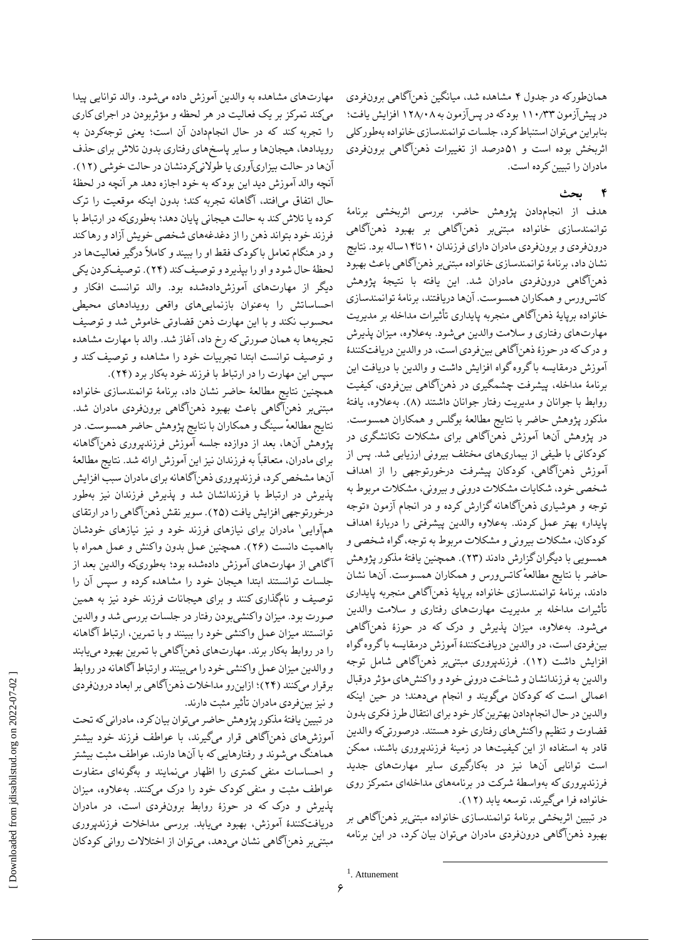همانطورکه در جدول ۴ مشاهده شد، میانگین ذهنآگاهی برونفردی در پیشآزمون 11۰٫۳۳ بود که در پسآزمون به 1۲۸٫۰۸ افزایش یافت؛ بنابراین میتوان استنباط کرد، جلسات توانمندسازی خانواده بهطور کلی اثربخش بوده است و ۵1درصد از تغییرات ذهنآگاهی برونفردی مادران را تبیین کرده است.

#### **4 بحث**

هدف از انجامدادن پژوهش حاضر، بررسی اثربخشی برنامٔه توانمندسازی خانواده مبتنیبر ذهنآگاهی بر بهبود ذهنآگاهی درونفردی و برونفردی مادران دارای فرزندان 1۰تا1۴ساله بود. نتایج نشان داد، برنامٔه توانمندسازی خانواده مبتنیبر ذهنآگاهی باعث بهبود ذهنآگاهی درونفردی مادران شد. این یافته با نتیجٔه پژوهش کاتسورس و همکاران همسوست. آنها دریافتند، برنامٔه توانمندسازی خانواده برپایٔه ذهنآگاهی منجربه پایداری تأثیرات مداخله بر مدیریت مهارتهای رفتاری و سالمت والدین میشود. بهعالوه، میزان پذیرش و درککه در حوزٔه ذهنآگاهی بینفردی است، در والدین دریافتکنندٔه آموزش درمقایسه با گروه گواه افزایش داشت و والدین با دریافت این برنامٔه مداخله، پیشرفت چشمگیری در ذهنآگاهی بینفردی، کیفیت روابط با جوانان و مدیریت رفتار جوانان داشتند (۸). بهعلاوه، یافتهٔ مذکور پژوهش حاضر با نتایج مطالعٔه بوگلس و همکاران همسوست. در پژوهش آنها آموزش ذهنآگاهی برای مشکالت تکانشگری در کودکانی با طیفی از بیماریهای مختلف بیرونی ارزیابی شد. پس از آموزش ذهنآگاهی، کودکان پیشرفت درخورتوجهی را از اهداف شخصی خود، شکایات مشکالت درونی و بیرونی، مشکالت مربوط به توجه و هوشیاری ذهنآگاهانه گزارش کرده و در انجام آزمون »توجه پایدار» بهتر عمل کردند. بهعلاوه والدین پیشرفتی را دربارهٔ اهداف کودکان، مشکالت بیرونی و مشکالت مربوط به توجه، گواه شخصی و همسویی با دیگران گزارش دادند )۲۳(. همچنین یافتٔه مذکور پژوهش حاضر با نتایج ٔ مطالعه کاتسورس و همکاران همسوست. آنها نشان دادند، برنامٔه توانمندسازی خانواده برپایٔه ذهنآگاهی منجربه پایداری تأثیرات مداخله بر مدیریت مهارتهای رفتاری و سالمت والدین میشود. بهعالوه، میزان پذیرش و درک که در حوزٔه ذهنآگاهی بینفردی است، در والدین دریافتکنندٔه آموزش درمقایسه با گروه گواه افزایش داشت )1۲(. فرزندپروری مبتنیبر ذهنآگاهی شامل توجه والدین به فرزندانشان و شناخت درونی خود و واکنشهای مؤثر درقبال اعمالی است که کودکان میگویند و انجام میدهند؛ در حین اینکه والدین در حال انجامدادن بهترین کار خود برای انتقال طرز فکری بدون قضاوت و تنظیم واکنشهای رفتاری خود هستند. درصورتیکه والدین قادر به استفاده از این کیفیتها در زمینٔه فرزندپروری باشند، ممکن است توانایی آنها نیز در بهکارگیری سایر مهارتهای جدید فرزندپروری که بهواسطٔه شرکت در برنامههای مداخلهای متمرکز روی خانواده فرا میگیرند، توسعه یابد )1۲(.

در تبیین اثربخشی برنامٔه توانمندسازی خانواده مبتنیبر ذهنآگاهی بر بهبود ذهنآگاهی درونفردی مادران میتوان بیان کرد، در این برنامه

 $\overline{a}$ 

مهارتهای مشاهده به والدین آموزش داده میشود. والد توانایی پیدا میکند تمرکز بر یک فعالیت در هر لحظه و مؤثربودن در اجرایکاری را تجربه کند که در حال انجامدادن آن است؛ یعنی توجهکردن به رویدادها، هیجانها و سایر پاسخهای رفتاری بدون تالش برای حذف آنها در حالت بیزاریآوری یا طولانیکردنشان در حالت خوشی (۱۲). آنچه والد آموزش دید این بود که به خود اجازه دهد هر آنچه در لحظٔه حال اتفاق میافتد، آگاهانه تجربه کند؛ بدون اینکه موقعیت را ترک کرده یا تالش کند به حالت هیجانی پایان دهد؛ بهطوریکه در ارتباط با فرزند خود بتواند ذهن را از دغدغههای شخصی خویش آزاد و رهاکند و در هنگام تعامل با کودک فقط او را ببیند و کامالً درگیر فعالیتها در لحظٔه حال شود و او را بپذیرد و توصیف کند )۲۴(. توصیفکردن یکی دیگر از مهارتهای آموزشدادهشده بود. والد توانست افکار و احساساتش را بهعنوان بازنماییهای واقعی رویدادهای محیطی محسوب نکند و با این مهارت ذهن قضاوتی خاموش شد و توصیف تجربهها به همان صورتی که رخ داد، آغاز شد. والد با مهارت مشاهده و توصیف توانست ابتدا تجربیات خود را مشاهده و توصیف کند و

سپس این مهارت را در ارتباط با فرزند خود بهکار برد )۲۴(. همچنین نتایج مطالعٔه حاضر نشان داد، برنامٔه توانمندسازی خانواده مبتنیبر ذهنآگاهی باعث بهبود ذهنآگاهی برونفردی مادران شد. نتایج مطالعهٔ سینگ و همکاران با نتایج پژوهش حاضر همسوست. در پژوهش آنها، بعد از دوازده جلسه آموزش فرزندپروری ذهنآگاهانه برای مادران، متعاقباً به فرزندان نیز این آموزش ارائه شد. نتایج مطالعٔه آنها مشخص کرد، فرزندپروری ذهنآگاهانه برای مادران سبب افزایش پذیرش در ارتباط با فرزندانشان شد و پذیرش فرزندان نیز بهطور درخورتوجهی افزایش یافت )۲۵(. سویر نقش ذهنآگاهی را در ارتقای همهآوایی' مادران برای نیازهای فرزند خود و نیز نیازهای خودشان بااهمیت دانست )۲۶(. همچنین عمل بدون واکنش و عمل همراه با آگاهی از مهارتهای آموزش دادهشده بود؛ بهطوریکه والدین بعد از جلسات توانستند ابتدا هیجان خود را مشاهده کرده و سپس آن را توصیف و نامگذاری کنند و برای هیجانات فرزند خود نیز به همین صورت بود. میزان واکنشیبودن رفتار در جلسات بررسی شد و والدین توانستند میزان عمل واکنشی خود را ببینند و با تمرین، ارتباط آگاهانه را در روابط بهکار برند. مهارتهای ذهنآگاهی با تمرین بهبود مییابند و والدین میزان عمل واکنشی خود را میبینند و ارتباط آگاهانه در روابط برقرار میکنند )۲۴(؛ ازاینرو مداخالت ذهنآگاهی بر ابعاد درونفردی و نیز بینفردی مادران تأثیر مثبت دارند.

در تبیین یافتٔه مذکور پژوهش حاضر میتوان بیان کرد، مادرانی که تحت آموزشهای ذهنآگاهی قرار میگیرند، با عواطف فرزند خود بیشتر هماهنگ میشوند و رفتارهایی که با آنها دارند، عواطف مثبت بیشتر و احساسات منفی کمتری را اظهار مینمایند و بهگونهای متفاوت عواطف مثبت و منفی کودک خود را درک میکنند. بهعالوه، میزان پذیرش و درک که در حوزٔه روابط برونفردی است، در مادران دریافتکنندٔه آموزش، بهبود مییابد. بررسی مداخالت فرزندپروری مبتنیبر ذهنآگاهی نشان میدهد، میتوان از اختالالت روانی کودکان

<sup>1</sup> . Attunement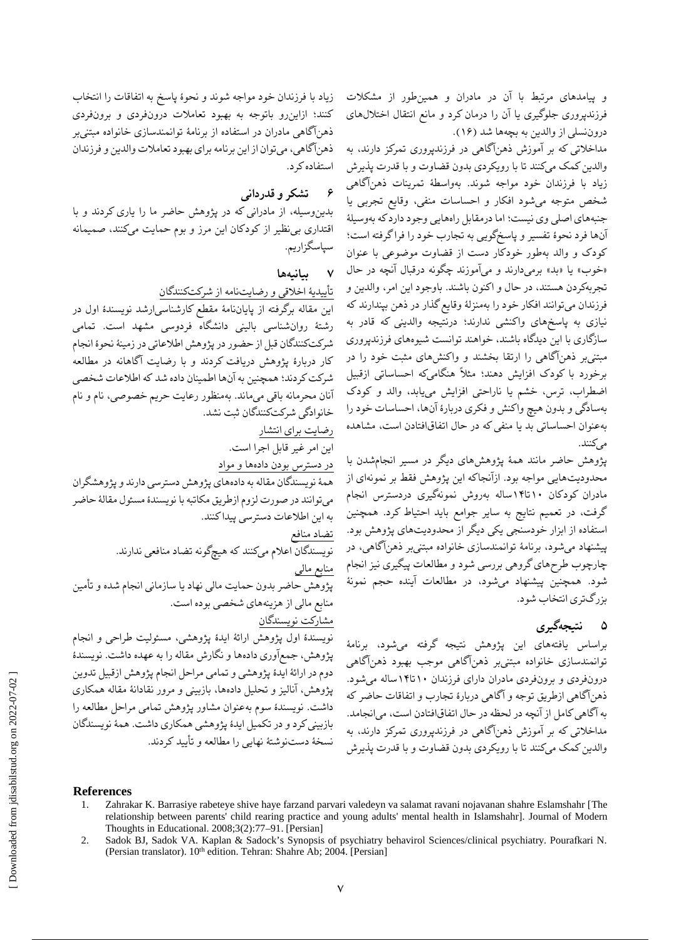و پیامدهای مرتبط با آن در مادران و همینطور از مشکالت فرزندپروری جلوگیری یا آن را درمان کرد و مانع انتقال اختاللهای دروننسلی از والدین به بچهها شد )1۶(.

مداخالتی که بر آموزش ذهنآگاهی در فرزندپروری تمرکز دارند، به والدین کمک میکنند تا با رویکردی بدون قضاوت و با قدرت پذیرش زیاد با فرزندان خود مواجه شوند. بهواسطٔه تمرینات ذهنآگاهی شخص متوجه میشود افکار و احساسات منفی، وقایع تجربی یا جنبههای اصلی وی نیست؛ اما درمقابل راههایی وجود دارد که بهوسیلٔه آنها فرد نحؤه تفسیر و پاسخگویی به تجارب خود را فراگرفته است؛ کودک و والد بهطور خودکار دست از قضاوت موضوعی با عنوان «خوب» یا «بد» برمیدارند و میآموزند چگونه درقبال آنچه در حال تجربهکردن هستند، در حال و اکنون باشند. باوجود این امر، والدین و فرزندان میتوانند افکار خود را بهمنزلٔه وقایع گذار در ذهن بپندارند که نیازی به پاسخهای واکنشی ندارند؛ درنتیجه والدینی که قادر به سازگاری با این دیدگاه باشند، خواهند توانست شیوههای فرزندپروری مبتنیبر ذهنآگاهی را ارتقا بخشند و واکنشهای مثبت خود را در برخورد با کودک افزایش دهند؛ مثالً هنگامیکه احساساتی ازقبیل اضطراب، ترس، خشم یا ناراحتی افزایش مییابد، والد و کودک بهسادگی و بدون هیچ واکنش و فکری دربارٔه آنها، احساسات خود را بهعنوان احساساتی بد یا منفی که در حال اتفاقافتادن است، مشاهده مے کنند.

پژوهش حاضر مانند همٔه پژوهشهای دیگر در مسیر انجامشدن با محدودیتهایی مواجه بود. ازآنجاکه این پژوهش فقط بر نمونهای از مادران کودکان 1۰تا1۴ساله بهروش نمونهگیری دردسترس انجام گرفت، در تعمیم نتایج به سایر جوامع باید احتیاط کرد. همچنین استفاده از ابزار خودسنجی یکی دیگر از محدودیتهای پژوهش بود. پیشنهاد میشود، برنامٔه توانمندسازی خانواده مبتنیبر ذهنآگاهی، در چارچوب طرحهای گروهی بررسی شود و مطالعات پیگیری نیز انجام شود. همچنین پیشنهاد میشود، در مطالعات آینده حجم نمونٔه بزرگتری انتخاب شود.

## **۵ نتیجهگیری**

براساس یافتههای این پژوهش نتیجه گرفته میشود، برنامٔه توانمندسازی خانواده مبتنیبر ذهنآگاهی موجب بهبود ذهنآگاهی درونفردی و برونفردی مادران دارای فرزندان 1۰تا1۴ساله میشود. ذهنآگاهی ازطریق توجه و آگاهی دربارٔه تجارب و اتفاقات حاضر که به آگاهی کامل از آنچه در لحظه در حال اتفاقافتادن است، میانجامد. مداخالتی که بر آموزش ذهنآگاهی در فرزندپروری تمرکز دارند، به والدین کمک میکنند تا با رویکردی بدون قضاوت و با قدرت پذیرش

**References**

- 1. Zahrakar K. Barrasiye rabeteye shive haye farzand parvari valedeyn va salamat ravani nojavanan shahre Eslamshahr [The relationship between parents' child rearing practice and young adults' mental health in Islamshahr]. Journal of Modern Thoughts in Educational. 2008;3(2):77–91. [Persian]
- 2. Sadok BJ, Sadok VA. Kaplan & Sadock's Synopsis of psychiatry behavirol Sciences/clinical psychiatry. Pourafkari N. (Persian translator). 10<sup>th</sup> edition. Tehran: Shahre Ab; 2004. [Persian]

زیاد با فرزندان خود مواجه شوند و نحؤه پاسخ به اتفاقات را انتخاب کنند؛ ازاینرو باتوجه به بهبود تعامالت درونفردی و برونفردی ذهنآگاهی مادران در استفاده از برنامٔه توانمندسازی خانواده مبتنیبر ذهنآگاهی، میتوان از این برنامه برای بهبود تعامالت والدین و فرزندان استفاده کرد.

**6 تشکر و قدردانی**

بدینوسیله، از مادرانی که در پژوهش حاضر ما را یاری کردند و با اقتداری بینظیر از کودکان این مرز و بوم حمایت میکنند، صمیمانه سپاسگزاریم.

**7 بیانیهها**

تأییدیٔه اخالقی و رضایتنامه از شرکتکنندگان

این مقاله برگرفته از پایاننامٔه مقطع کارشناسیارشد نویسندٔه اول در رشتٔه روانشناسی بالینی دانشگاه فردوسی مشهد است. تمامی شرکتکنندگان قبل از حضور در پژوهش اطالعاتی در زمینٔه نحؤه انجام کار دربارٔه پژوهش دریافت کردند و با رضایت آگاهانه در مطالعه شرکت کردند؛ همچنین به آنها اطمینان داده شد که اطالعات شخصی آنان محرمانه باقی میماند. بهمنظور رعایت حریم خصوصی، نام و نام خانوادگی شرکتکنندگان ثبت نشد.

رضایت برای انتشار

این امر غیر قابل اجرا است. در دسترس بودن دادهها و مواد

همٔه نویسندگان مقاله به دادههای پژوهش دسترسی دارند و پژوهشگران میتوانند در صورت لزوم ازطریق مکاتبه با نویسندٔه مسئول مقالٔه حاضر به این اطالعات دسترسی پیدا کنند.

تضاد منافع

نویسندگان اعالم میکنند که هیچگونه تضاد منافعی ندارند. منابع مالی

پژوهش حاضر بدون حمایت مالی نهاد یا سازمانی انجام شده و تأمین منابع مالی از هزینههای شخصی بوده است. مشارکت نویسندگان

نویسندٔه اول پژوهش ارائٔه ایدٔه پژوهشی، مسئولیت طراحی و انجام پژوهش، جمعآوری دادهها و نگارش مقاله را به عهده داشت. نویسندٔه دوم در ارائٔه ایدٔه پژوهشی و تمامی مراحل انجام پژوهش ازقبیل تدوین پژوهش، آنالیز و تحلیل دادهها، بازبینی و مرور نقادانٔه مقاله همکاری داشت. نویسندٔه سوم بهعنوان مشاور پژوهش تمامی مراحل مطالعه را بازبینی کرد و در تکمیل ایدٔه پژوهشی همکاری داشت. همٔه نویسندگان نسخٔه دستنوشتٔه نهایی را مطالعه و تأیید کردند.